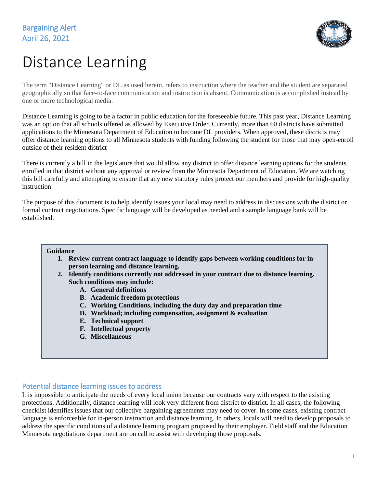

# Distance Learning

The term "Distance Learning" or DL as used herein, refers to instruction where the teacher and the student are separated geographically so that face-to-face communication and instruction is absent. Communication is accomplished instead by one or more technological media.

Distance Learning is going to be a factor in public education for the foreseeable future. This past year, Distance Learning was an option that all schools offered as allowed by Executive Order. Currently, more than 60 districts have submitted applications to the Minnesota Department of Education to become DL providers. When approved, these districts may offer distance learning options to all Minnesota students with funding following the student for those that may open-enroll outside of their resident district

There is currently a bill in the legislature that would allow any district to offer distance learning options for the students enrolled in that district without any approval or review from the Minnesota Department of Education. We are watching this bill carefully and attempting to ensure that any new statutory rules protect our members and provide for high-quality instruction

The purpose of this document is to help identify issues your local may need to address in discussions with the district or formal contract negotiations. Specific language will be developed as needed and a sample language bank will be established.

### **Guidance**

- **1. Review current contract language to identify gaps between working conditions for inperson learning and distance learning.**
- **2. Identify conditions currently not addressed in your contract due to distance learning. Such conditions may include:**
	- **A. General definitions**
	- **B. Academic freedom protections**
	- **C. Working Conditions, including the duty day and preparation time**
	- **D. Workload; including compensation, assignment & evaluation**
	- **E. Technical support**
	- **F. Intellectual property**
	- **G. Miscellaneous**

# Potential distance learning issues to address

It is impossible to anticipate the needs of every local union because our contracts vary with respect to the existing protections. Additionally, distance learning will look very different from district to district. In all cases, the following checklist identifies issues that our collective bargaining agreements may need to cover. In some cases, existing contract language is enforceable for in-person instruction and distance learning. In others, locals will need to develop proposals to address the specific conditions of a distance learning program proposed by their employer. Field staff and the Education Minnesota negotiations department are on call to assist with developing those proposals.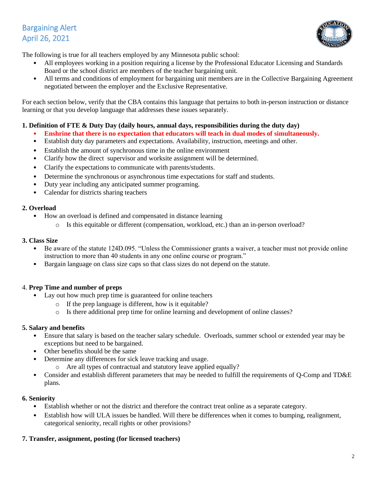# Bargaining Alert April 26, 2021



The following is true for all teachers employed by any Minnesota public school:

- All employees working in a position requiring a license by the Professional Educator Licensing and Standards Board or the school district are members of the teacher bargaining unit.
- All terms and conditions of employment for bargaining unit members are in the Collective Bargaining Agreement negotiated between the employer and the Exclusive Representative.

For each section below, verify that the CBA contains this language that pertains to both in-person instruction or distance learning or that you develop language that addresses these issues separately.

# **1. Definition of FTE & Duty Day (daily hours, annual days, responsibilities during the duty day)**

- **Enshrine that there is no expectation that educators will teach in dual modes of simultaneously.**
- Establish duty day parameters and expectations. Availability, instruction, meetings and other.
- Establish the amount of synchronous time in the online environment
- Clarify how the direct supervisor and worksite assignment will be determined.
- Clarify the expectations to communicate with parents/students.
- Determine the synchronous or asynchronous time expectations for staff and students.
- Duty year including any anticipated summer programing.
- Calendar for districts sharing teachers

### **2. Overload**

- How an overload is defined and compensated in distance learning
	- o Is this equitable or different (compensation, workload, etc.) than an in-person overload?

### **3. Class Size**

- Be aware of the statute 124D.095. "Unless the Commissioner grants a waiver, a teacher must not provide online instruction to more than 40 students in any one online course or program."
- Bargain language on class size caps so that class sizes do not depend on the statute.

# 4. **Prep Time and number of preps**

- Lay out how much prep time is guaranteed for online teachers
	- o If the prep language is different, how is it equitable?
	- o Is there additional prep time for online learning and development of online classes?

# **5. Salary and benefits**

- Ensure that salary is based on the teacher salary schedule. Overloads, summer school or extended year may be exceptions but need to be bargained.
- Other benefits should be the same
- Determine any differences for sick leave tracking and usage.
	- o Are all types of contractual and statutory leave applied equally?
- Consider and establish different parameters that may be needed to fulfill the requirements of Q-Comp and TD&E plans.

### **6. Seniority**

- Establish whether or not the district and therefore the contract treat online as a separate category.
- Establish how will ULA issues be handled. Will there be differences when it comes to bumping, realignment, categorical seniority, recall rights or other provisions?

# **7. Transfer, assignment, posting (for licensed teachers)**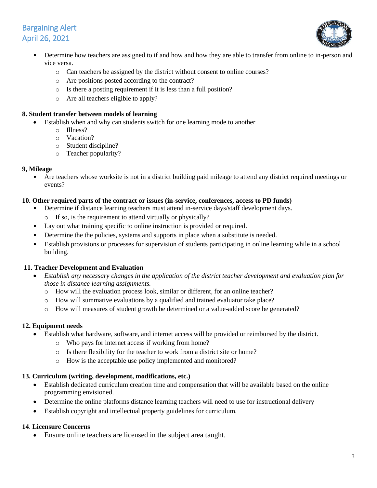# Bargaining Alert April 26, 2021



- Determine how teachers are assigned to if and how and how they are able to transfer from online to in-person and vice versa.
	- o Can teachers be assigned by the district without consent to online courses?
	- o Are positions posted according to the contract?
	- o Is there a posting requirement if it is less than a full position?
	- o Are all teachers eligible to apply?

### **8. Student transfer between models of learning**

- Establish when and why can students switch for one learning mode to another
	- o Illness?
	- o Vacation?
	- o Student discipline?
	- o Teacher popularity?

### **9, Mileage**

• Are teachers whose worksite is not in a district building paid mileage to attend any district required meetings or events?

### **10. Other required parts of the contract or issues (in-service, conferences, access to PD funds)**

- Determine if distance learning teachers must attend in-service days/staff development days.
	- o If so, is the requirement to attend virtually or physically?
- Lay out what training specific to online instruction is provided or required.
- Determine the the policies, systems and supports in place when a substitute is needed.
- Establish provisions or processes for supervision of students participating in online learning while in a school building.

# **11. Teacher Development and Evaluation**

- *Establish any necessary changes in the application of the district teacher development and evaluation plan for those in distance learning assignments.*
	- o How will the evaluation process look, similar or different, for an online teacher?
	- o How will summative evaluations by a qualified and trained evaluator take place?
	- o How will measures of student growth be determined or a value-added score be generated?

# **12. Equipment needs**

- Establish what hardware, software, and internet access will be provided or reimbursed by the district.
	- o Who pays for internet access if working from home?
	- o Is there flexibility for the teacher to work from a district site or home?
	- o How is the acceptable use policy implemented and monitored?

# **13. Curriculum (writing, development, modifications, etc.)**

- Establish dedicated curriculum creation time and compensation that will be available based on the online programming envisioned.
- Determine the online platforms distance learning teachers will need to use for instructional delivery
- Establish copyright and intellectual property guidelines for curriculum.

# **14**. **Licensure Concerns**

Ensure online teachers are licensed in the subject area taught.